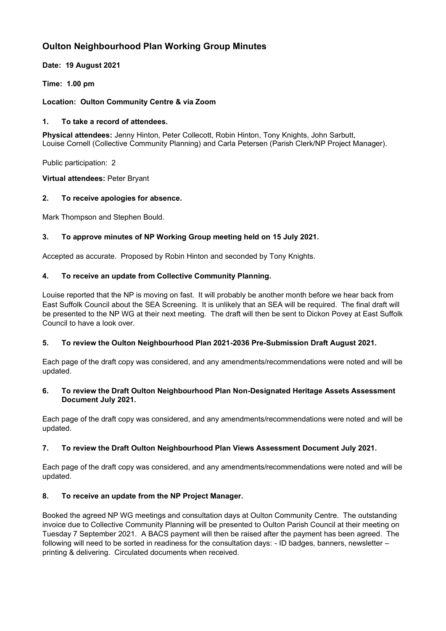# **Oulton Neighbourhood Plan Working Group Minutes**

**Date: 19 August 2021**

**Time: 1.00 pm**

## **Location: Oulton Community Centre & via Zoom**

## **1. To take a record of attendees.**

**Physical attendees:** Jenny Hinton, Peter Collecott, Robin Hinton, Tony Knights, John Sarbutt, Louise Cornell (Collective Community Planning) and Carla Petersen (Parish Clerk/NP Project Manager).

Public participation: 2

**Virtual attendees:** Peter Bryant

# **2. To receive apologies for absence.**

Mark Thompson and Stephen Bould.

# **3. To approve minutes of NP Working Group meeting held on 15 July 2021.**

Accepted as accurate. Proposed by Robin Hinton and seconded by Tony Knights.

# **4. To receive an update from Collective Community Planning.**

Louise reported that the NP is moving on fast. It will probably be another month before we hear back from East Suffolk Council about the SEA Screening. It is unlikely that an SEA will be required. The final draft will be presented to the NP WG at their next meeting. The draft will then be sent to Dickon Povey at East Suffolk Council to have a look over.

#### **5. To review the Oulton Neighbourhood Plan 2021-2036 Pre-Submission Draft August 2021.**

Each page of the draft copy was considered, and any amendments/recommendations were noted and will be updated.

#### **6. To review the Draft Oulton Neighbourhood Plan Non-Designated Heritage Assets Assessment Document July 2021.**

Each page of the draft copy was considered, and any amendments/recommendations were noted and will be updated.

#### **7. To review the Draft Oulton Neighbourhood Plan Views Assessment Document July 2021.**

Each page of the draft copy was considered, and any amendments/recommendations were noted and will be updated.

#### **8. To receive an update from the NP Project Manager.**

Booked the agreed NP WG meetings and consultation days at Oulton Community Centre. The outstanding invoice due to Collective Community Planning will be presented to Oulton Parish Council at their meeting on Tuesday 7 September 2021. A BACS payment will then be raised after the payment has been agreed. The following will need to be sorted in readiness for the consultation days: - ID badges, banners, newsletter – printing & delivering. Circulated documents when received.